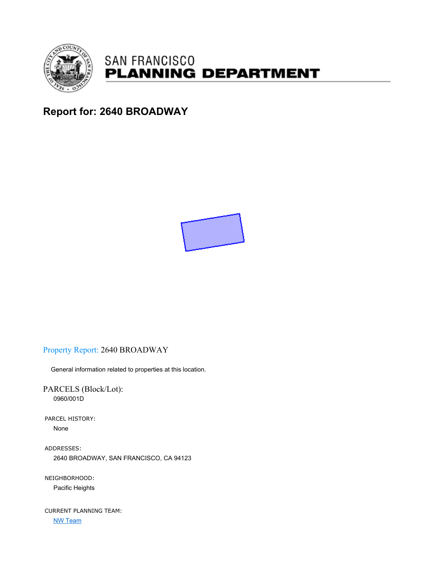

# **SAN FRANCISCO PLANNING DEPARTMENT**

# **Report for: 2640 BROADWAY**



# Property Report: 2640 BROADWAY

General information related to properties at this location.

PARCELS (Block/Lot): 0960/001D

PARCEL HISTORY: None

ADDRESSES: 2640 BROADWAY, SAN FRANCISCO, CA 94123

NEIGHBORHOOD: Pacific Heights

CURRENT PLANNING TEAM: NW Team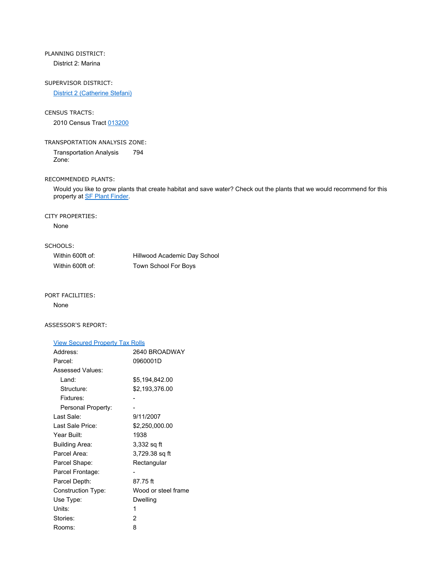# PLANNING DISTRICT:

District 2: Marina

## SUPERVISOR DISTRICT:

District 2 (Catherine Stefani)

## CENSUS TRACTS:

2010 Census Tract 013200

## TRANSPORTATION ANALYSIS ZONE:

Transportation Analysis Zone: 794

## RECOMMENDED PLANTS:

Would you like to grow plants that create habitat and save water? Check out the plants that we would recommend for this property at SF Plant Finder.

## CITY PROPERTIES:

None

# SCHOOLS:

| Within 600ft of: | Hillwood Academic Day School |
|------------------|------------------------------|
| Within 600ft of: | Town School For Boys         |

#### PORT FACILITIES:

None

## ASSESSOR'S REPORT:

| <b>View Secured Property Tax Rolls</b> |                     |
|----------------------------------------|---------------------|
| Address:                               | 2640 BROADWAY       |
| Parcel:                                | 0960001D            |
| <b>Assessed Values:</b>                |                     |
| Land:                                  | \$5,194,842.00      |
| Structure:                             | \$2,193,376.00      |
| Fixtures:                              |                     |
| Personal Property:                     |                     |
| Last Sale:                             | 9/11/2007           |
| Last Sale Price:                       | \$2,250,000.00      |
| Year Built:                            | 1938                |
| <b>Building Area:</b>                  | 3,332 sq ft         |
| Parcel Area:                           | 3,729.38 sq ft      |
| Parcel Shape:                          | Rectangular         |
| Parcel Frontage:                       |                     |
| Parcel Depth:                          | 87.75 ft            |
| <b>Construction Type:</b>              | Wood or steel frame |
| Use Type:                              | Dwelling            |
| Units:                                 | 1                   |
| Stories:                               | 2                   |
| Rooms:                                 | 8                   |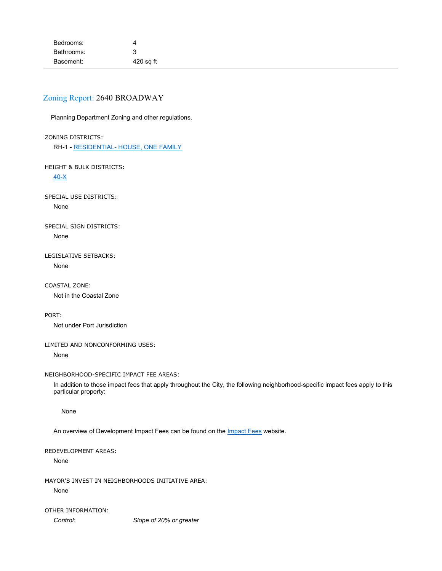# Zoning Report: 2640 BROADWAY

Planning Department Zoning and other regulations.

## ZONING DISTRICTS:

RH-1 - RESIDENTIAL- HOUSE, ONE FAMILY

HEIGHT & BULK DISTRICTS:

40-X

SPECIAL USE DISTRICTS: None

SPECIAL SIGN DISTRICTS: None

LEGISLATIVE SETBACKS: None

COASTAL ZONE: Not in the Coastal Zone

PORT:

Not under Port Jurisdiction

## LIMITED AND NONCONFORMING USES:

None

## NEIGHBORHOOD-SPECIFIC IMPACT FEE AREAS:

In addition to those impact fees that apply throughout the City, the following neighborhood-specific impact fees apply to this particular property:

None

An overview of Development Impact Fees can be found on the *Impact Fees* website.

## REDEVELOPMENT AREAS:

None

MAYOR'S INVEST IN NEIGHBORHOODS INITIATIVE AREA: None

OTHER INFORMATION: *Control: Slope of 20% or greater*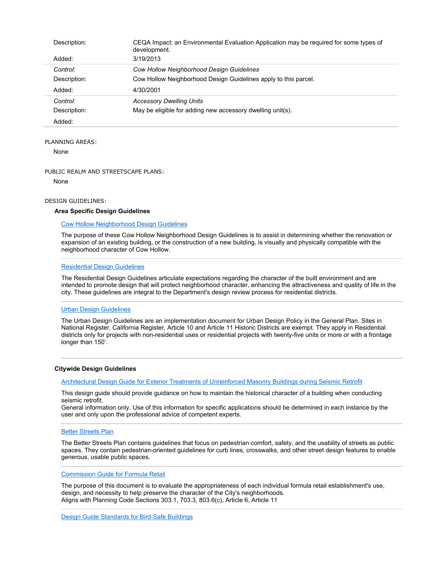| Description: | CEQA Impact: an Environmental Evaluation Application may be required for some types of<br>development. |
|--------------|--------------------------------------------------------------------------------------------------------|
| Added:       | 3/19/2013                                                                                              |
| Control:     | <b>Cow Hollow Neighborhood Design Guidelines</b>                                                       |
| Description: | Cow Hollow Neighborhood Design Guidelines apply to this parcel.                                        |
| Added:       | 4/30/2001                                                                                              |
| Control:     | <b>Accessory Dwelling Units</b>                                                                        |
| Description: | May be eligible for adding new accessory dwelling unit(s).                                             |
| Added:       |                                                                                                        |

#### PLANNING AREAS:

None

#### PUBLIC REALM AND STREETSCAPE PLANS:

None

#### DESIGN GUIDELINES:

#### **Area Specific Design Guidelines**

#### Cow Hollow Neighborhood Design Guidelines

The purpose of these Cow Hollow Neighborhood Design Guidelines is to assist in determining whether the renovation or expansion of an existing building, or the construction of a new building, is visually and physically compatible with the neighborhood character of Cow Hollow.

#### Residential Design Guidelines

The Residential Design Guidelines articulate expectations regarding the character of the built environment and are intended to promote design that will protect neighborhood character, enhancing the attractiveness and quality of life in the city. These guidelines are integral to the Department's design review process for residential districts.

## Urban Design Guidelines

The Urban Design Guidelines are an implementation document for Urban Design Policy in the General Plan. Sites in National Register, California Register, Article 10 and Article 11 Historic Districts are exempt. They apply in Residential districts only for projects with non-residential uses or residential projects with twenty-five units or more or with a frontage longer than 150'.

#### **Citywide Design Guidelines**

Architectural Design Guide for Exterior Treatments of Unreinforced Masonry Buildings during Seismic Retrofit

This design guide should provide guidance on how to maintain the historical character of a building when conducting seismic retrofit.

General information only. Use of this information for specific applications should be determined in each instance by the user and only upon the professional advice of competent experts.

#### Better Streets Plan

The Better Streets Plan contains guidelines that focus on pedestrian comfort, safety, and the usability of streets as public spaces. They contain pedestrian-oriented guidelines for curb lines, crosswalks, and other street design features to enable generous, usable public spaces.

#### Commission Guide for Formula Retail

The purpose of this document is to evaluate the appropriateness of each individual formula retail establishment's use, design, and necessity to help preserve the character of the City's neighborhoods. Aligns with Planning Code Sections 303.1, 703.3, 803.6(c), Article 6, Article 11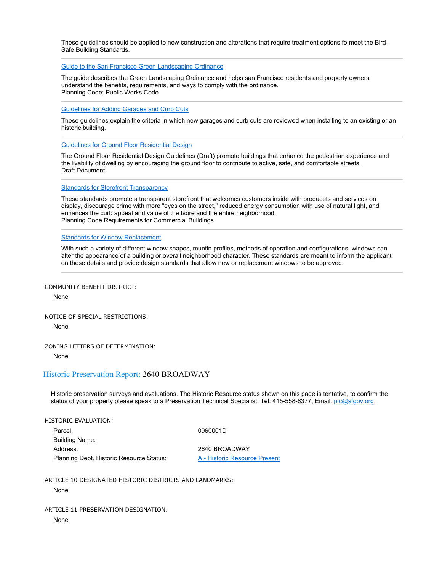These guidelines should be applied to new construction and alterations that require treatment options fo meet the Bird-Safe Building Standards.

Guide to the San Francisco Green Landscaping Ordinance

The guide describes the Green Landscaping Ordinance and helps san Francisco residents and property owners understand the benefits, requirements, and ways to comply with the ordinance. Planning Code; Public Works Code

Guidelines for Adding Garages and Curb Cuts

These guidelines explain the criteria in which new garages and curb cuts are reviewed when installing to an existing or an historic building.

Guidelines for Ground Floor Residential Design

The Ground Floor Residential Design Guidelines (Draft) promote buildings that enhance the pedestrian experience and the livability of dwelling by encouraging the ground floor to contribute to active, safe, and comfortable streets. Draft Document

**Standards for Storefront Transparency** 

These standards promote a transparent storefront that welcomes customers inside with producets and services on display, discourage crime with more "eyes on the street," reduced energy consumption with use of natural light, and enhances the curb appeal and value of the tsore and the entire neighborhood. Planning Code Requirements for Commercial Buildings

Standards for Window Replacement

With such a variety of different window shapes, muntin profiles, methods of operation and configurations, windows can alter the appearance of a building or overall neighborhood character. These standards are meant to inform the applicant on these details and provide design standards that allow new or replacement windows to be approved.

COMMUNITY BENEFIT DISTRICT:

None

NOTICE OF SPECIAL RESTRICTIONS:

None

ZONING LETTERS OF DETERMINATION:

None

## Historic Preservation Report: 2640 BROADWAY

Historic preservation surveys and evaluations. The Historic Resource status shown on this page is tentative, to confirm the status of your property please speak to a Preservation Technical Specialist. Tel: 415-558-6377; Email: pic@sfgov.org

| HISTORIC EVALUATION:                     |                               |
|------------------------------------------|-------------------------------|
| Parcel:                                  | 0960001D                      |
| <b>Building Name:</b>                    |                               |
| Address:                                 | 2640 BROADWAY                 |
| Planning Dept. Historic Resource Status: | A - Historic Resource Present |

ARTICLE 10 DESIGNATED HISTORIC DISTRICTS AND LANDMARKS:

#### None

ARTICLE 11 PRESERVATION DESIGNATION:

None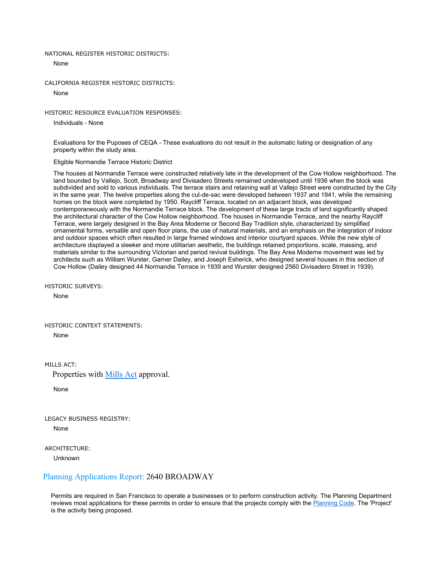#### NATIONAL REGISTER HISTORIC DISTRICTS:

None

CALIFORNIA REGISTER HISTORIC DISTRICTS:

None

HISTORIC RESOURCE EVALUATION RESPONSES:

Individuals - None

Evaluations for the Puposes of CEQA - These evaluations do not result in the automatic listing or designation of any property within the study area.

Eligible Normandie Terrace Historic District

The houses at Normandie Terrace were constructed relatively late in the development of the Cow Hollow neighborhood. The land bounded by Vallejo, Scott, Broadway and Divisadero Streets remained undeveloped until 1936 when the block was subdivided and sold to various individuals. The terrace stairs and retaining wall at Vallejo Street were constructed by the City in the same year. The twelve properties along the cul-de-sac were developed between 1937 and 1941, while the remaining homes on the block were completed by 1950. Raycliff Terrace, located on an adjacent block, was developed contemporaneously with the Normandie Terrace block. The development of these large tracts of land significantly shaped the architectural character of the Cow Hollow neighborhood. The houses in Normandie Terrace, and the nearby Raycliff Terrace, were largely designed in the Bay Area Moderne or Second Bay Tradition style, characterized by simplified ornamental forms, versatile and open floor plans, the use of natural materials, and an emphasis on the integration of indoor and outdoor spaces which often resulted in large framed windows and interior courtyard spaces. While the new style of architecture displayed a sleeker and more utilitarian aesthetic, the buildings retained proportions, scale, massing, and materials similar to the surrounding Victorian and period revival buildings. The Bay Area Moderne movement was led by architects such as William Wurster, Garner Dailey, and Joseph Esherick, who designed several houses in this section of Cow Hollow (Dailey designed 44 Normandie Terrace in 1939 and Wurster designed 2560 Divisadero Street in 1939).

HISTORIC SURVEYS:

None

HISTORIC CONTEXT STATEMENTS: None

MILLS ACT<sup>.</sup>

Properties with Mills Act approval.

None

LEGACY BUSINESS REGISTRY: None

ARCHITECTURE:

Unknown

## Planning Applications Report: 2640 BROADWAY

Permits are required in San Francisco to operate a businesses or to perform construction activity. The Planning Department reviews most applications for these permits in order to ensure that the projects comply with the Planning Code. The 'Project' is the activity being proposed.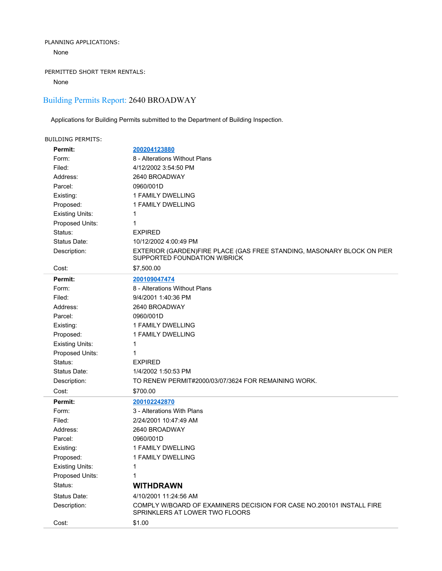## PLANNING APPLICATIONS:

None

# PERMITTED SHORT TERM RENTALS:

None

# Building Permits Report: 2640 BROADWAY

Applications for Building Permits submitted to the Department of Building Inspection.

| <b>BUILDING PERMITS:</b> |                                                                                                        |
|--------------------------|--------------------------------------------------------------------------------------------------------|
| Permit:                  | 200204123880                                                                                           |
| Form:                    | 8 - Alterations Without Plans                                                                          |
| Filed:                   | 4/12/2002 3:54:50 PM                                                                                   |
| Address:                 | 2640 BROADWAY                                                                                          |
| Parcel:                  | 0960/001D                                                                                              |
| Existing:                | 1 FAMILY DWELLING                                                                                      |
| Proposed:                | 1 FAMILY DWELLING                                                                                      |
| <b>Existing Units:</b>   | 1                                                                                                      |
| Proposed Units:          | 1                                                                                                      |
| Status:                  | <b>EXPIRED</b>                                                                                         |
| Status Date:             | 10/12/2002 4:00:49 PM                                                                                  |
| Description:             | EXTERIOR (GARDEN)FIRE PLACE (GAS FREE STANDING, MASONARY BLOCK ON PIER<br>SUPPORTED FOUNDATION W/BRICK |
| Cost:                    | \$7,500.00                                                                                             |
| Permit:                  | 200109047474                                                                                           |
| Form:                    | 8 - Alterations Without Plans                                                                          |
| Filed:                   | 9/4/2001 1:40:36 PM                                                                                    |
| Address:                 | 2640 BROADWAY                                                                                          |
| Parcel:                  | 0960/001D                                                                                              |
| Existing:                | 1 FAMILY DWELLING                                                                                      |
| Proposed:                | 1 FAMILY DWELLING                                                                                      |
| <b>Existing Units:</b>   | 1                                                                                                      |
| Proposed Units:          | 1                                                                                                      |
| Status:                  | <b>EXPIRED</b>                                                                                         |
| Status Date:             | 1/4/2002 1:50:53 PM                                                                                    |
| Description:             | TO RENEW PERMIT#2000/03/07/3624 FOR REMAINING WORK.                                                    |
| Cost:                    | \$700.00                                                                                               |
| Permit:                  | 200102242870                                                                                           |
| Form:                    | 3 - Alterations With Plans                                                                             |
| Filed:                   | 2/24/2001 10:47:49 AM                                                                                  |
| Address:                 | 2640 BROADWAY                                                                                          |
| Parcel:                  | 0960/001D                                                                                              |
| Existing:                | <b>1 FAMILY DWELLING</b>                                                                               |
| Proposed:                | 1 FAMILY DWELLING                                                                                      |
| <b>Existing Units:</b>   | 1                                                                                                      |
| Proposed Units:          | 1                                                                                                      |
| Status:                  | <b>WITHDRAWN</b>                                                                                       |
| Status Date:             | 4/10/2001 11:24:56 AM                                                                                  |
| Description:             | COMPLY W/BOARD OF EXAMINERS DECISION FOR CASE NO.200101 INSTALL FIRE<br>SPRINKLERS AT LOWER TWO FLOORS |
| Cost:                    | \$1.00                                                                                                 |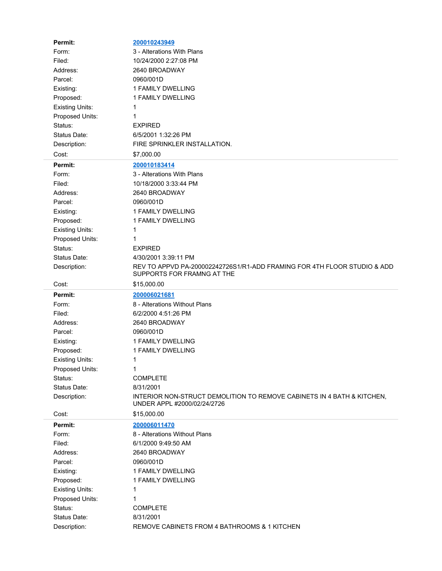| Permit:                | 200010243949                                                                                           |
|------------------------|--------------------------------------------------------------------------------------------------------|
| Form:                  | 3 - Alterations With Plans                                                                             |
| Filed:                 | 10/24/2000 2:27:08 PM                                                                                  |
| Address:               | 2640 BROADWAY                                                                                          |
| Parcel:                | 0960/001D                                                                                              |
| Existing:              | 1 FAMILY DWELLING                                                                                      |
| Proposed:              | 1 FAMILY DWELLING                                                                                      |
| <b>Existing Units:</b> | 1                                                                                                      |
| Proposed Units:        | 1                                                                                                      |
| Status:                | <b>EXPIRED</b>                                                                                         |
| Status Date:           | 6/5/2001 1:32:26 PM                                                                                    |
| Description:           | FIRE SPRINKLER INSTALLATION.                                                                           |
| Cost:                  | \$7,000.00                                                                                             |
| Permit:                | 200010183414                                                                                           |
| Form:                  | 3 - Alterations With Plans                                                                             |
| Filed:                 | 10/18/2000 3:33:44 PM                                                                                  |
| Address:               | 2640 BROADWAY                                                                                          |
| Parcel:                | 0960/001D                                                                                              |
| Existing:              | <b>1 FAMILY DWELLING</b>                                                                               |
| Proposed:              | 1 FAMILY DWELLING                                                                                      |
| <b>Existing Units:</b> | 1                                                                                                      |
| Proposed Units:        | 1                                                                                                      |
| Status:                | <b>EXPIRED</b>                                                                                         |
| Status Date:           | 4/30/2001 3:39:11 PM                                                                                   |
| Description:           | REV TO APPVD PA-200002242726S1/R1-ADD FRAMING FOR 4TH FLOOR STUDIO & ADD<br>SUPPORTS FOR FRAMNG AT THE |
|                        |                                                                                                        |
| Cost:                  | \$15,000.00                                                                                            |
| Permit:                | 200006021681                                                                                           |
| Form:                  | 8 - Alterations Without Plans                                                                          |
| Filed:                 | 6/2/2000 4:51:26 PM                                                                                    |
| Address:               | 2640 BROADWAY                                                                                          |
| Parcel:                | 0960/001D                                                                                              |
| Existing:              | 1 FAMILY DWELLING                                                                                      |
| Proposed:              | 1 FAMILY DWELLING                                                                                      |
| <b>Existing Units:</b> | 1                                                                                                      |
| Proposed Units:        | 1                                                                                                      |
| Status:                | <b>COMPLETE</b>                                                                                        |
| Status Date:           | 8/31/2001                                                                                              |
| Description:           | INTERIOR NON-STRUCT DEMOLITION TO REMOVE CABINETS IN 4 BATH & KITCHEN,<br>UNDER APPL #2000/02/24/2726  |
| Cost:                  | \$15,000.00                                                                                            |
| Permit:                | 200006011470                                                                                           |
| Form:                  | 8 - Alterations Without Plans                                                                          |
| Filed:                 | 6/1/2000 9:49:50 AM                                                                                    |
| Address:               | 2640 BROADWAY                                                                                          |
| Parcel:                | 0960/001D                                                                                              |
| Existing:              | 1 FAMILY DWELLING                                                                                      |
| Proposed:              | 1 FAMILY DWELLING                                                                                      |
| <b>Existing Units:</b> | 1                                                                                                      |
| Proposed Units:        | 1                                                                                                      |
| Status:                | <b>COMPLETE</b>                                                                                        |
| Status Date:           | 8/31/2001                                                                                              |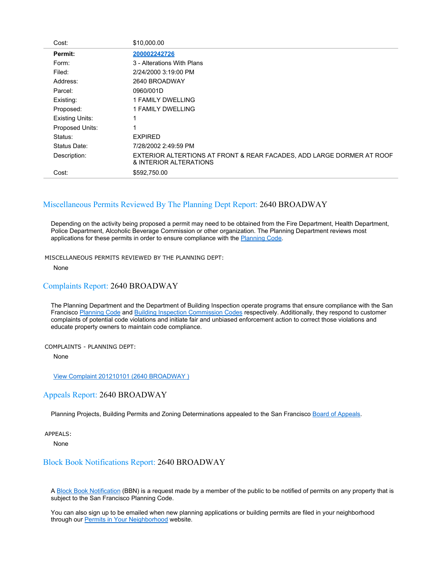| Cost:                  | \$10,000.00                                                                                     |
|------------------------|-------------------------------------------------------------------------------------------------|
| Permit:                | 200002242726                                                                                    |
| Form:                  | 3 - Alterations With Plans                                                                      |
| Filed:                 | 2/24/2000 3:19:00 PM                                                                            |
| Address:               | 2640 BROADWAY                                                                                   |
| Parcel:                | 0960/001D                                                                                       |
| Existing:              | 1 FAMILY DWELLING                                                                               |
| Proposed:              | 1 FAMILY DWELLING                                                                               |
| <b>Existing Units:</b> |                                                                                                 |
| Proposed Units:        |                                                                                                 |
| Status:                | <b>EXPIRED</b>                                                                                  |
| Status Date:           | 7/28/2002 2:49:59 PM                                                                            |
| Description:           | EXTERIOR ALTERTIONS AT FRONT & REAR FACADES, ADD LARGE DORMER AT ROOF<br>& INTERIOR ALTERATIONS |
| Cost:                  | \$592,750.00                                                                                    |

# Miscellaneous Permits Reviewed By The Planning Dept Report: 2640 BROADWAY

Depending on the activity being proposed a permit may need to be obtained from the Fire Department, Health Department, Police Department, Alcoholic Beverage Commission or other organization. The Planning Department reviews most applications for these permits in order to ensure compliance with the Planning Code.

MISCELLANEOUS PERMITS REVIEWED BY THE PLANNING DEPT:

None

## Complaints Report: 2640 BROADWAY

The Planning Department and the Department of Building Inspection operate programs that ensure compliance with the San Francisco Planning Code and Building Inspection Commission Codes respectively. Additionally, they respond to customer complaints of potential code violations and initiate fair and unbiased enforcement action to correct those violations and educate property owners to maintain code compliance.

#### COMPLAINTS - PLANNING DEPT:

None

## View Complaint 201210101 (2640 BROADWAY )

## Appeals Report: 2640 BROADWAY

Planning Projects, Building Permits and Zoning Determinations appealed to the San Francisco Board of Appeals.

APPEALS:

None

## Block Book Notifications Report: 2640 BROADWAY

A Block Book Notification (BBN) is a request made by a member of the public to be notified of permits on any property that is subject to the San Francisco Planning Code.

You can also sign up to be emailed when new planning applications or building permits are filed in your neighborhood through our **Permits in Your Neighborhood** website.